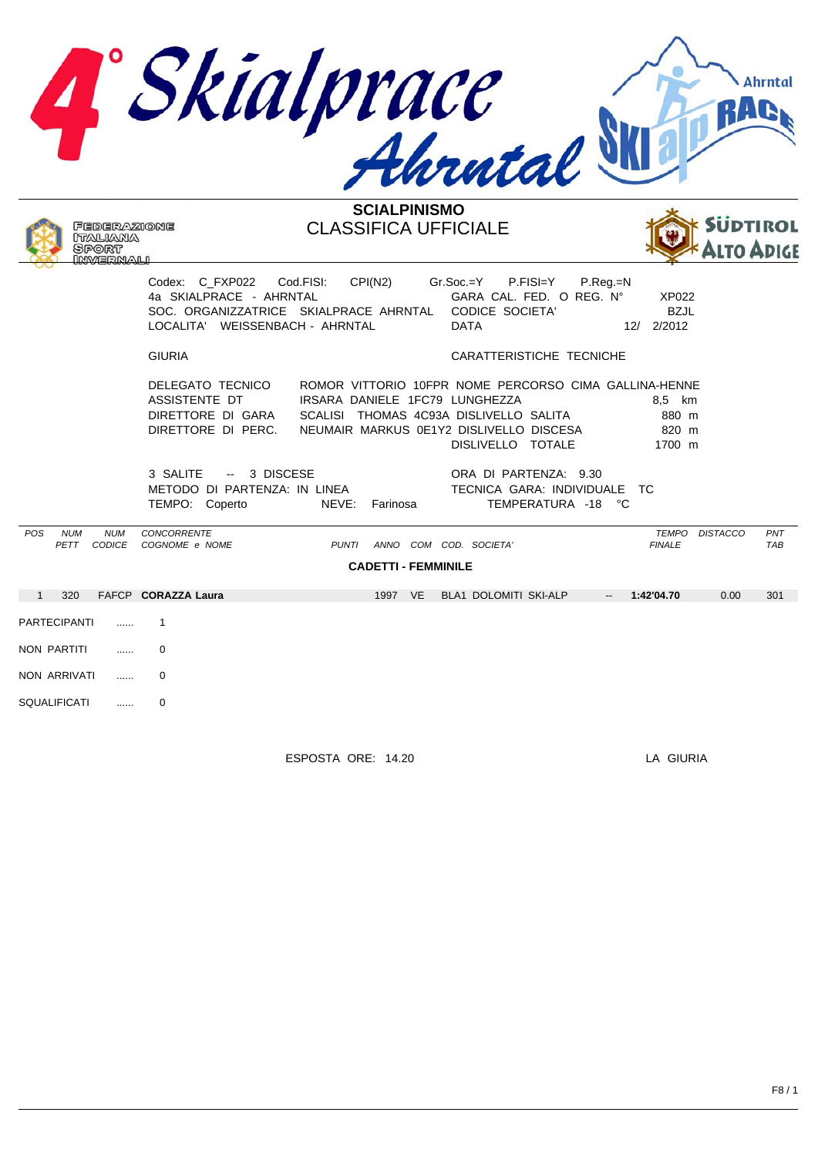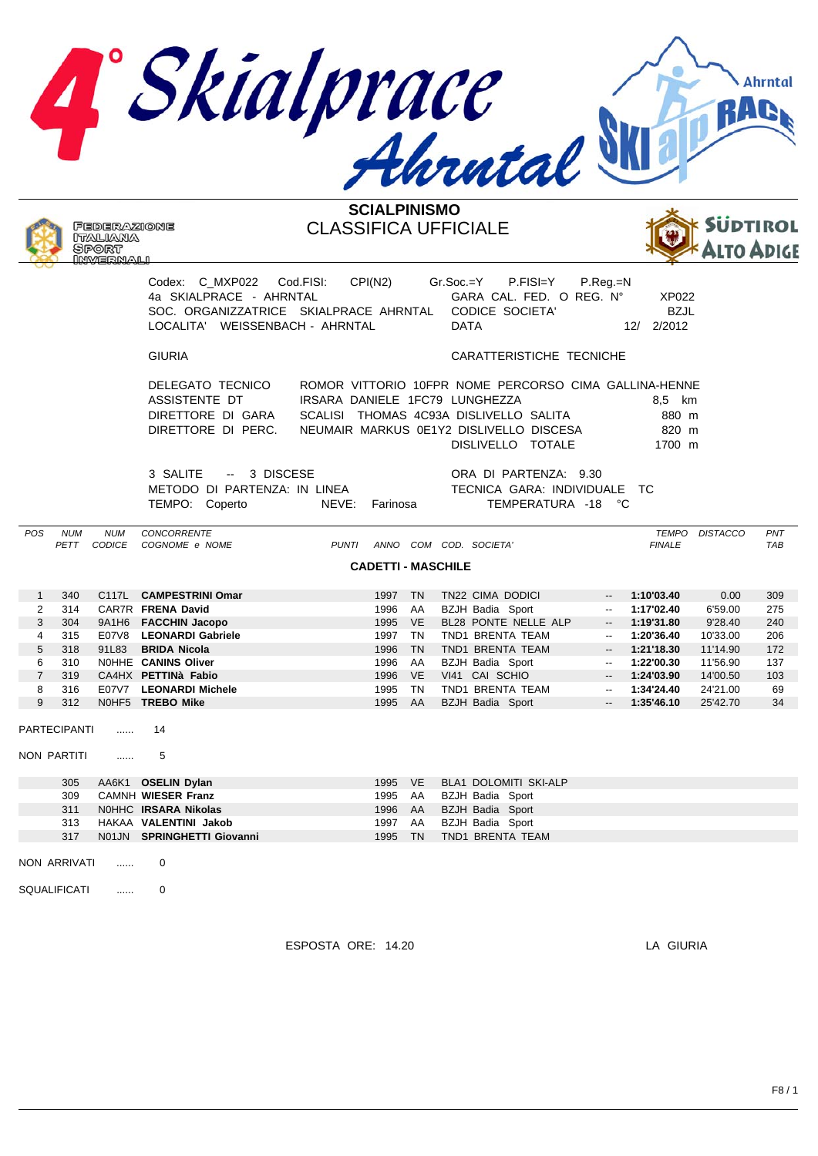



## **SCIALPINISMO**  CLASSIFICA UFFICIALE



|                |                                                                                                                                                          | <b>NAMGERMAN</b>          |                                                                                                                         |                              |         |           |                             |                                                                                                                                                             |                               |                                    | <b>ALIVAPIGE</b> |                   |  |  |
|----------------|----------------------------------------------------------------------------------------------------------------------------------------------------------|---------------------------|-------------------------------------------------------------------------------------------------------------------------|------------------------------|---------|-----------|-----------------------------|-------------------------------------------------------------------------------------------------------------------------------------------------------------|-------------------------------|------------------------------------|------------------|-------------------|--|--|
|                |                                                                                                                                                          |                           | Codex: C_MXP022<br>4a SKIALPRACE - AHRNTAL<br>SOC. ORGANIZZATRICE SKIALPRACE AHRNTAL<br>LOCALITA' WEISSENBACH - AHRNTAL | Cod.FISI:<br>CPI(N2)         |         |           | $Gr.Soc = Y$<br><b>DATA</b> | $P.FISI = Y$<br>GARA CAL. FED. O REG. N°<br><b>CODICE SOCIETA'</b>                                                                                          | $P_{\cdot}$ Reg $_{\cdot}$ =N | XP022<br><b>BZJL</b><br>12/ 2/2012 |                  |                   |  |  |
|                |                                                                                                                                                          |                           | <b>GIURIA</b>                                                                                                           |                              |         |           | CARATTERISTICHE TECNICHE    |                                                                                                                                                             |                               |                                    |                  |                   |  |  |
|                | DELEGATO TECNICO<br>ASSISTENTE DT<br>IRSARA DANIELE 1FC79 LUNGHEZZA<br>SCALISI THOMAS 4C93A DISLIVELLO SALITA<br>DIRETTORE DI GARA<br>DIRETTORE DI PERC. |                           |                                                                                                                         |                              |         |           |                             | ROMOR VITTORIO 10FPR NOME PERCORSO CIMA GALLINA-HENNE<br>8.5 km<br>880 m<br>NEUMAIR MARKUS 0E1Y2 DISLIVELLO DISCESA<br>820 m<br>DISLIVELLO TOTALE<br>1700 m |                               |                                    |                  |                   |  |  |
|                |                                                                                                                                                          |                           | 3 SALITE<br>-- 3 DISCESE<br>METODO DI PARTENZA: IN LINEA<br>TEMPO: Coperto                                              | NEVE: Farinosa               |         |           |                             | ORA DI PARTENZA: 9.30<br>TECNICA GARA: INDIVIDUALE TC<br>TEMPERATURA -18 °C                                                                                 |                               |                                    |                  |                   |  |  |
| POS            | <b>NUM</b>                                                                                                                                               | <b>NUM</b><br>PETT CODICE | CONCORRENTE<br>COGNOME e NOME                                                                                           | PUNTI ANNO COM COD. SOCIETA' |         |           |                             |                                                                                                                                                             |                               | <b>FINALE</b>                      | TEMPO DISTACCO   | PNT<br><b>TAB</b> |  |  |
|                |                                                                                                                                                          |                           |                                                                                                                         |                              |         |           | <b>CADETTI - MASCHILE</b>   |                                                                                                                                                             |                               |                                    |                  |                   |  |  |
| $\mathbf{1}$   | 340                                                                                                                                                      | C117L                     | <b>CAMPESTRINI Omar</b>                                                                                                 |                              | 1997    | TN        |                             | TN22 CIMA DODICI                                                                                                                                            | $\overline{\phantom{a}}$      | 1:10'03.40                         | 0.00             | 309               |  |  |
| 2              | 314                                                                                                                                                      |                           | CAR7R FRENA David                                                                                                       |                              | 1996    | AA        |                             | BZJH Badia Sport                                                                                                                                            | $\overline{\phantom{a}}$      | 1:17'02.40                         | 6'59.00          | 275               |  |  |
| 3              | 304                                                                                                                                                      |                           | 9A1H6 FACCHIN Jacopo                                                                                                    |                              | 1995    | VE        |                             | BL28 PONTE NELLE ALP                                                                                                                                        |                               | 1:19'31.80                         | 9'28.40          | 240               |  |  |
| 4              | 315                                                                                                                                                      |                           | E07V8 LEONARDI Gabriele                                                                                                 |                              | 1997 TN |           |                             | TND1 BRENTA TEAM                                                                                                                                            | $-$                           | 1:20'36.40                         | 10'33.00         | 206               |  |  |
| 5              | 318                                                                                                                                                      | 91L83                     | <b>BRIDA Nicola</b>                                                                                                     |                              | 1996    | <b>TN</b> |                             | TND1 BRENTA TEAM                                                                                                                                            | $\overline{\phantom{a}}$      | 1:21'18.30                         | 11'14.90         | 172               |  |  |
| 6              | 310                                                                                                                                                      |                           | NOHHE CANINS Oliver                                                                                                     |                              | 1996    | AA        |                             | <b>BZJH Badia Sport</b>                                                                                                                                     | $\sim$                        | 1:22'00.30                         | 11'56.90         | 137               |  |  |
| $\overline{7}$ | 319                                                                                                                                                      |                           | CA4HX PETTINà Fabio                                                                                                     |                              | 1996    | VE        |                             | VI41 CAI SCHIO                                                                                                                                              | $\sim$                        | 1:24'03.90                         | 14'00.50         | 103               |  |  |
| 8              | 316                                                                                                                                                      |                           | E07V7 LEONARDI Michele                                                                                                  |                              | 1995 TN |           |                             | TND1 BRENTA TEAM                                                                                                                                            | $\sim$                        | 1:34'24.40                         | 24'21.00         | 69                |  |  |
| 9              | 312                                                                                                                                                      |                           | NOHF5 TREBO Mike                                                                                                        |                              | 1995    | AA        |                             | BZJH Badia Sport                                                                                                                                            |                               | 1:35'46.10                         | 25'42.70         | 34                |  |  |
|                | PARTECIPANTI                                                                                                                                             | $\cdots$                  | 14                                                                                                                      |                              |         |           |                             |                                                                                                                                                             |                               |                                    |                  |                   |  |  |
|                | NON PARTITI                                                                                                                                              | $\cdots$                  | 5                                                                                                                       |                              |         |           |                             |                                                                                                                                                             |                               |                                    |                  |                   |  |  |
|                | 305                                                                                                                                                      |                           | AA6K1 OSELIN Dylan                                                                                                      |                              | 1995 VE |           |                             | BLA1 DOLOMITI SKI-ALP                                                                                                                                       |                               |                                    |                  |                   |  |  |
|                | 309                                                                                                                                                      |                           | CAMNH WIESER Franz                                                                                                      |                              | 1995 AA |           |                             | BZJH Badia Sport                                                                                                                                            |                               |                                    |                  |                   |  |  |
|                | 311                                                                                                                                                      |                           | NOHHC IRSARA Nikolas                                                                                                    |                              | 1996 AA |           |                             | <b>BZJH Badia Sport</b>                                                                                                                                     |                               |                                    |                  |                   |  |  |
|                | 313                                                                                                                                                      |                           | HAKAA VALENTINI Jakob                                                                                                   |                              | 1997 AA |           |                             | BZJH Badia Sport                                                                                                                                            |                               |                                    |                  |                   |  |  |
|                | 317                                                                                                                                                      |                           | N01JN SPRINGHETTI Giovanni                                                                                              |                              | 1995 TN |           |                             | TND1 BRENTA TEAM                                                                                                                                            |                               |                                    |                  |                   |  |  |
|                | NON ARRIVATI                                                                                                                                             | $\cdots$                  | $\Omega$                                                                                                                |                              |         |           |                             |                                                                                                                                                             |                               |                                    |                  |                   |  |  |
|                | SQUALIFICATI                                                                                                                                             | .                         | $\Omega$                                                                                                                |                              |         |           |                             |                                                                                                                                                             |                               |                                    |                  |                   |  |  |
|                |                                                                                                                                                          |                           |                                                                                                                         | ESPOSTA ORE: 14.20           |         |           |                             |                                                                                                                                                             |                               | LA GIURIA                          |                  |                   |  |  |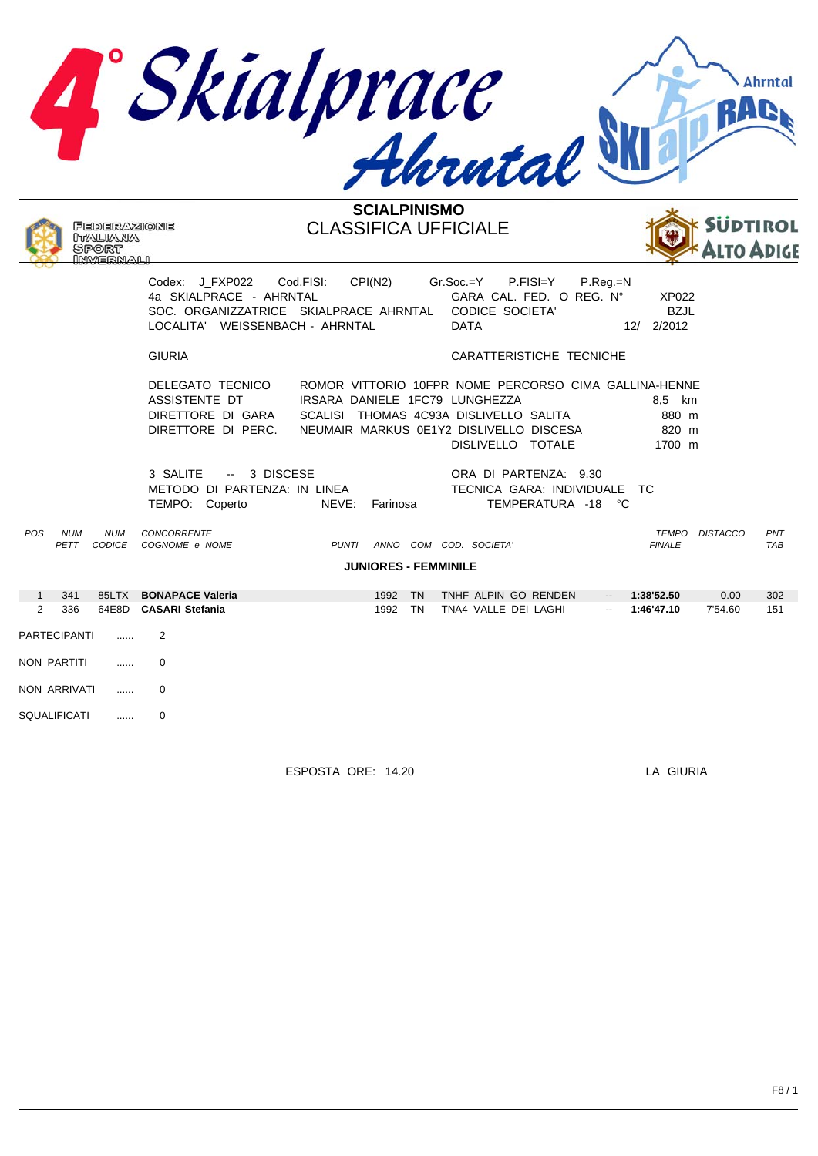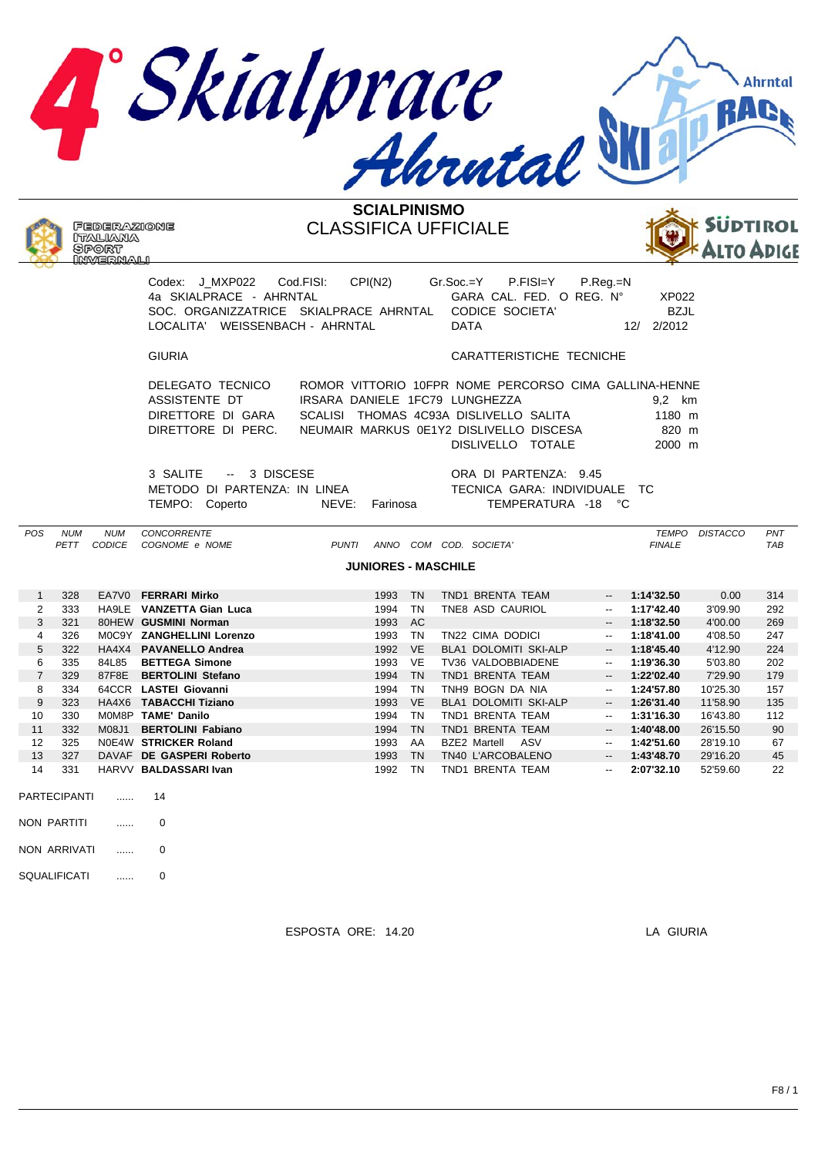



## CLASSIFICA UFFICIALE



|                |                     |                           | Codex: J MXP022 Cod.FISI:<br>4a SKIALPRACE - AHRNTAL<br>SOC. ORGANIZZATRICE SKIALPRACE AHRNTAL CODICE SOCIETA'<br>LOCALITA' WEISSENBACH - AHRNTAL | CPI(N2)                        |           | Gr.Soc.=Y<br>P.FISI=Y<br>GARA CAL. FED. O REG. Nº<br><b>DATA</b>                                                                                                | $P_{\cdot}$ Reg $_{\cdot}$ =N | XP022<br><b>BZJL</b><br>12/ 2/2012  |                |                         |
|----------------|---------------------|---------------------------|---------------------------------------------------------------------------------------------------------------------------------------------------|--------------------------------|-----------|-----------------------------------------------------------------------------------------------------------------------------------------------------------------|-------------------------------|-------------------------------------|----------------|-------------------------|
|                |                     |                           | <b>GIURIA</b>                                                                                                                                     |                                |           | CARATTERISTICHE TECNICHE                                                                                                                                        |                               |                                     |                |                         |
|                |                     |                           | DELEGATO TECNICO<br>ASSISTENTE DT<br>DIRETTORE DI GARA<br>DIRETTORE DI PERC.                                                                      | IRSARA DANIELE 1FC79 LUNGHEZZA |           | ROMOR VITTORIO 10FPR NOME PERCORSO CIMA GALLINA-HENNE<br>SCALISI THOMAS 4C93A DISLIVELLO SALITA<br>NEUMAIR MARKUS 0E1Y2 DISLIVELLO DISCESA<br>DISLIVELLO TOTALE |                               | 9.2 km<br>1180 m<br>820 m<br>2000 m |                |                         |
|                |                     |                           | 3 SALITE -- 3 DISCESE<br>METODO DI PARTENZA: IN LINEA<br>TEMPO: Coperto                                                                           | NEVE: Farinosa                 |           | ORA DI PARTENZA: 9.45<br>TECNICA GARA: INDIVIDUALE TC<br>TEMPERATURA -18 °C                                                                                     |                               |                                     |                |                         |
| <b>POS</b>     | <b>NUM</b>          | <b>NUM</b><br>PETT CODICE | <b>CONCORRENTE</b><br>COGNOME e NOME                                                                                                              | PUNTI ANNO COM COD. SOCIETA'   |           |                                                                                                                                                                 |                               | <b>FINALE</b>                       | TEMPO DISTACCO | <b>PN</b><br><b>TAE</b> |
|                |                     |                           |                                                                                                                                                   | <b>JUNIORES - MASCHILE</b>     |           |                                                                                                                                                                 |                               |                                     |                |                         |
| $\mathbf{1}$   | 328                 |                           | EA7V0 FERRARI Mirko                                                                                                                               | 1993 TN                        |           | TND1 BRENTA TEAM                                                                                                                                                | $\sim$                        | 1:14'32.50                          | 0.00           | 314                     |
| $\overline{2}$ | 333                 |                           | HA9LE VANZETTA Gian Luca                                                                                                                          | 1994 TN                        |           | TNE8 ASD CAURIOL                                                                                                                                                | $ -$                          | 1:17'42.40                          | 3'09.90        | 292                     |
| 3              | 321                 |                           | 80HEW GUSMINI Norman                                                                                                                              | 1993 AC                        |           |                                                                                                                                                                 |                               | 1:18'32.50                          | 4'00.00        | <b>269</b>              |
| $\overline{4}$ | 326                 |                           | MOC9Y ZANGHELLINI Lorenzo                                                                                                                         | 1993                           | <b>TN</b> | TN22 CIMA DODICI                                                                                                                                                | $\overline{\phantom{a}}$      | 1:18'41.00                          | 4'08.50        | 247                     |
| 5              | 322                 |                           | HA4X4 PAVANELLO Andrea                                                                                                                            | 1992                           | <b>VE</b> | BLA1 DOLOMITI SKI-ALP                                                                                                                                           | $\overline{\phantom{a}}$      | 1:18'45.40                          | 4'12.90        | 224                     |
| 6              | 335                 | 84L85                     | <b>BETTEGA Simone</b>                                                                                                                             | 1993                           | <b>VE</b> | TV36 VALDOBBIADENE                                                                                                                                              | $\overline{\phantom{a}}$      | 1:19'36.30                          | 5'03.80        | 202                     |
| $\overline{7}$ | 329                 |                           | 87F8E BERTOLINI Stefano                                                                                                                           | 1994                           | <b>TN</b> | TND1 BRENTA TEAM                                                                                                                                                | $\overline{\phantom{a}}$      | 1:22'02.40                          | 7'29.90        | 17 <sub>S</sub>         |
| 8              | 334                 |                           | 64CCR LASTEI Giovanni                                                                                                                             | 1994                           | TN        | TNH9 BOGN DA NIA                                                                                                                                                | $\overline{\phantom{a}}$      | 1:24'57.80                          | 10'25.30       | 157                     |
| 9              | 323                 |                           | HA4X6 TABACCHI Tiziano                                                                                                                            | 1993                           | <b>VE</b> | BLA1 DOLOMITI SKI-ALP                                                                                                                                           | $\overline{\phantom{a}}$      | 1:26'31.40                          | 11'58.90       | 135                     |
| 10             | 330                 |                           | MOM8P TAME' Danilo                                                                                                                                | 1994                           | <b>TN</b> | TND1 BRENTA TEAM                                                                                                                                                | $\overline{\phantom{a}}$      | 1:31'16.30                          | 16'43.80       | 112                     |
| 11             | 332                 |                           | M08J1 BERTOLINI Fabiano                                                                                                                           | 1994                           | TN        | TND1 BRENTA TEAM                                                                                                                                                |                               | 1:40'48.00                          | 26'15.50       | 90                      |
| 12             | 325                 |                           | NOE4W STRICKER Roland                                                                                                                             | 1993                           | AA        | BZE2 Martell ASV                                                                                                                                                | $- -$                         | 1:42'51.60                          | 28'19.10       | 67                      |
| 13             | 327                 |                           | DAVAF DE GASPERI Roberto                                                                                                                          | 1993                           | <b>TN</b> | TN40 L'ARCOBALENO                                                                                                                                               | $\sim$                        | 1:43'48.70                          | 29'16.20       | 45                      |
| 14             | 331                 |                           | HARVV BALDASSARI Ivan                                                                                                                             | 1992 TN                        |           | TND1 BRENTA TEAM                                                                                                                                                | $\overline{\phantom{a}}$      | 2:07'32.10                          | 52'59.60       | 22                      |
|                | <b>PARTECIPANTI</b> | $\cdots$                  | 14                                                                                                                                                |                                |           |                                                                                                                                                                 |                               |                                     |                |                         |

NON PARTITI ...... 0 NON ARRIVATI ...... 0

SQUALIFICATI ...... 0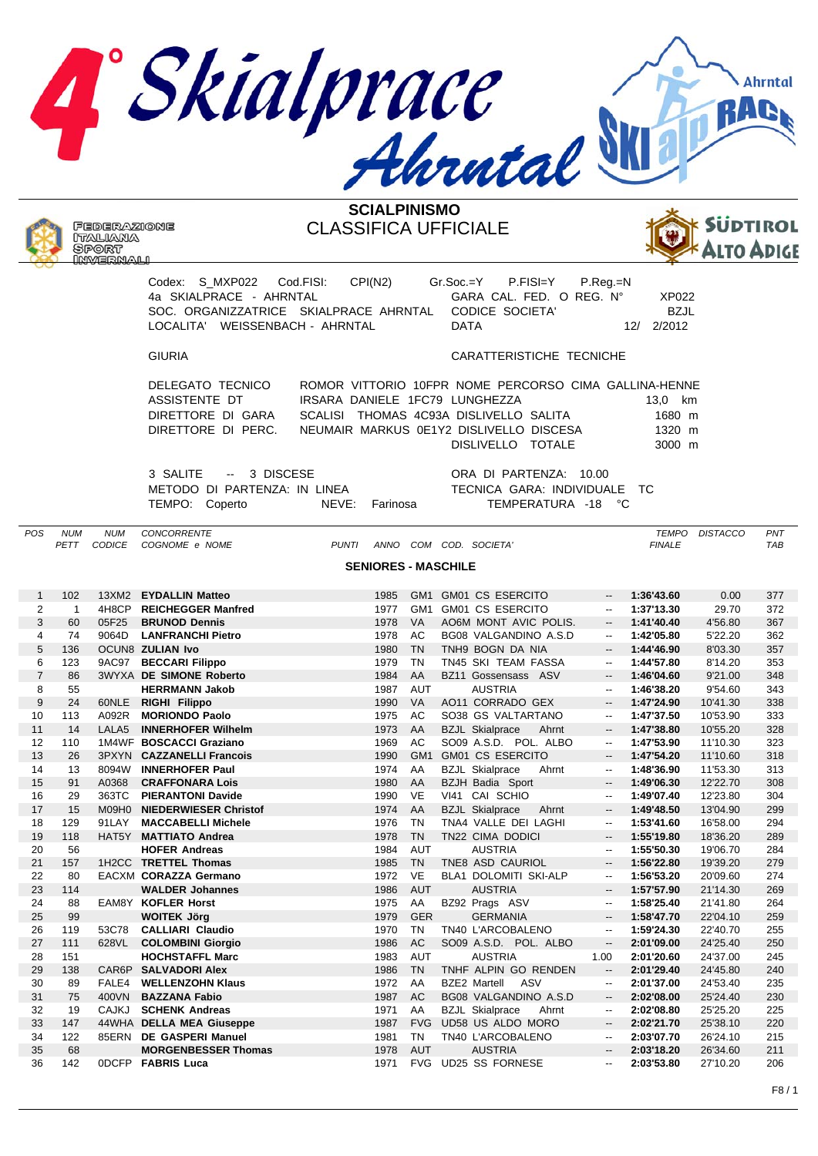



## **SCIALPINISMO**  CLASSIFICA UFFICIALE



| Codex: S MXP022 Cod.FISI:<br>4a SKIALPRACE - AHRNTAL<br>LOCALITA' WEISSENBACH - AHRNTAL | CPI(N2)<br>SOC. ORGANIZZATRICE SKIALPRACE AHRNTAL                                                                                             | $Gr.Soc = Y$ P.FISI=Y<br>GARA CAL. FED. O REG. N°<br>CODICE SOCIETA'<br><b>DATA</b> | P.Reg.=N<br>XP022<br><b>BZJL</b><br>2/2012<br>12/    |
|-----------------------------------------------------------------------------------------|-----------------------------------------------------------------------------------------------------------------------------------------------|-------------------------------------------------------------------------------------|------------------------------------------------------|
| <b>GIURIA</b>                                                                           |                                                                                                                                               | CARATTERISTICHE TECNICHE                                                            |                                                      |
| DELEGATO TECNICO<br>ASSISTENTE DT<br>DIRETTORE DI GARA<br>DIRETTORE DI PERC.            | ROMOR VITTORIO 10FPR NOME PERCORSO CIMA GALLINA-HENNE<br>IRSARA DANIELE 1FC79 LUNGHEZZA<br>SCALISE<br>NEUMAIR MARKUS 0E1Y2 DISLIVELLO DISCESA | THOMAS 4C93A DISLIVELLO SALITA<br>DISLIVELLO TOTALE                                 | 13.0<br>km<br>1680 m<br>1320 m<br>$3000 \, \text{m}$ |

3 SALITE -- 3 DISCESE ORA DI PARTENZA: 10.00 METODO DI PARTENZA: IN LINEA TECNICA GARA: INDIVIDUALE TC TEMPO: Coperto **NEVE:** Farinosa **TEMPERATURA -18** °C

*POS NUM NUM CONCORRENTE TEMPO DISTACCO PNT PETT CODICE COGNOME e NOME PUNTI ANNO COM COD. SOCIETA' FINALE TAB* **SENIORES - MASCHILE** 1 102 13XM2 **EYDALLIN Matteo** 1985 GM1 GM01 CS ESERCITO -- **1:36'43.60** 0.00 377 2 1 4H8CP **REICHEGGER Manfred** 1977 GM1 GM01 CS ESERCITO -- **1:37'13.30** 29.70 372 3 60 05F25 **BRUNOD Dennis** 1978 VA AO6M MONT AVIC POLIS. -- **1:41'40.40** 4'56.80 367 4 74 9064D **LANFRANCHI Pietro** 1978 AC BG08 VALGANDINO A.S.D -- **1:42'05.80** 5'22.20 362 5 136 OCUN8 **ZULIAN Ivo** 1980 TN TNH9 BOGN DA NIA -- **1:44'46.90** 8'03.30 357 6 123 9AC97 **BECCARI Filippo** 1979 TN TN45 SKI TEAM FASSA -- **1:44'57.80** 8'14.20 353 7 86 3WYXA **DE SIMONE Roberto** 1984 AA BZ11 Gossensass ASV -- **1:46'04.60** 9'21.00 348 8 55 **HERRMANN Jakob** 1987 AUT AUSTRIA -- **1:46'38.20** 9'54.60 343 9 24 60NLE **RIGHI Filippo** 1990 VA AO11 CORRADO GEX -- **1:47'24.90** 10'41.30 338 10 113 A092R **MORIONDO Paolo** 1975 AC SO38 GS VALTARTANO -- **1:47'37.50** 10'53.90 333 11 14 LALA5 **INNERHOFER Wilhelm** 1973 AA BZJL Skialprace Ahrnt -- **1:47'38.80** 10'55.20 328 12 110 1M4WF **BOSCACCI Graziano** 1969 AC SO09 A.S.D. POL. ALBO -- **1:47'53.90** 11'10.30 323 13 26 3PXYN **CAZZANELLI Francois** 1990 GM1 GM01 CS ESERCITO -- **1:47'54.20** 11'10.60 318 14 13 8094W **INNERHOFER Paul** 1974 AA BZJL Skialprace Ahrnt -- **1:48'36.90** 11'53.30 313 15 91 A0368 **CRAFFONARA Lois** 1980 AA BZJH Badia Sport -- **1:49'06.30** 12'22.70 308 16 29 363TC **PIERANTONI Davide** 1990 VE VI41 CAI SCHIO -- **1:49'07.40** 12'23.80 304 17 15 M09H0 **NIEDERWIESER Christof** 1974 AA BZJL Skialprace Ahrnt -- **1:49'48.50** 13'04.90 299 18 129 91LAY **MACCABELLI Michele** 1976 TN TNA4 VALLE DEI LAGHI -- **1:53'41.60** 16'58.00 294 19 118 HAT5Y **MATTIATO Andrea** 1978 TN TN22 CIMA DODICI -- **1:55'19.80** 18'36.20 289 20 56 **HOFER Andreas** 1984 AUT AUSTRIA -- **1:55'50.30** 19'06.70 284 21 157 1H2CC **TRETTEL Thomas** 1985 TN TNE8 ASD CAURIOL -- **1:56'22.80** 19'39.20 279 22 80 EACXM **CORAZZA Germano** 1972 VE BLA1 DOLOMITI SKI-ALP -- **1:56'53.20** 20'09.60 274 23 114 **WALDER Johannes** 1986 AUT AUSTRIA -- **1:57'57.90** 21'14.30 269 24 88 EAM8Y **KOFLER Horst** 1975 AA BZ92 Prags ASV -- **1:58'25.40** 21'41.80 264 25 99 **WOITEK Jörg** 1979 GER GERMANIA -- **1:58'47.70** 22'04.10 259 26 119 53C78 **CALLIARI Claudio** 1970 TN TN40 L'ARCOBALENO -- **1:59'24.30** 22'40.70 255 27 111 628VL **COLOMBINI Giorgio** 1986 AC SO09 A.S.D. POL. ALBO -- **2:01'09.00** 24'25.40 250 28 151 **HOCHSTAFFL Marc** 1983 AUT AUSTRIA 1.00 **2:01'20.60** 24'37.00 245 29 138 CAR6P **SALVADORI Alex** 1986 TN TNHF ALPIN GO RENDEN -- **2:01'29.40** 24'45.80 240 30 89 FALE4 **WELLENZOHN Klaus** 1972 AA BZE2 Martell ASV -- **2:01'37.00** 24'53.40 235 31 75 400VN **BAZZANA Fabio** 1987 AC BG08 VALGANDINO A.S.D -- **2:02'08.00** 25'24.40 230 32 19 CAJKJ **SCHENK Andreas** 1971 AA BZJL Skialprace Ahrnt -- **2:02'08.80** 25'25.20 225 33 147 44WHA **DELLA MEA Giuseppe** 1987 FVG UD58 US ALDO MORO -- **2:02'21.70** 25'38.10 220 34 122 85ERN **DE GASPERI Manuel** 1981 TN TN40 L'ARCOBALENO -- **2:03'07.70** 26'24.10 215 35 68 **MORGENBESSER Thomas** 1978 AUT AUSTRIA -- **2:03'18.20** 26'34.60 211 36 142 0DCFP **FABRIS Luca** 1971 FVG UD25 SS FORNESE -- **2:03'53.80** 27'10.20 206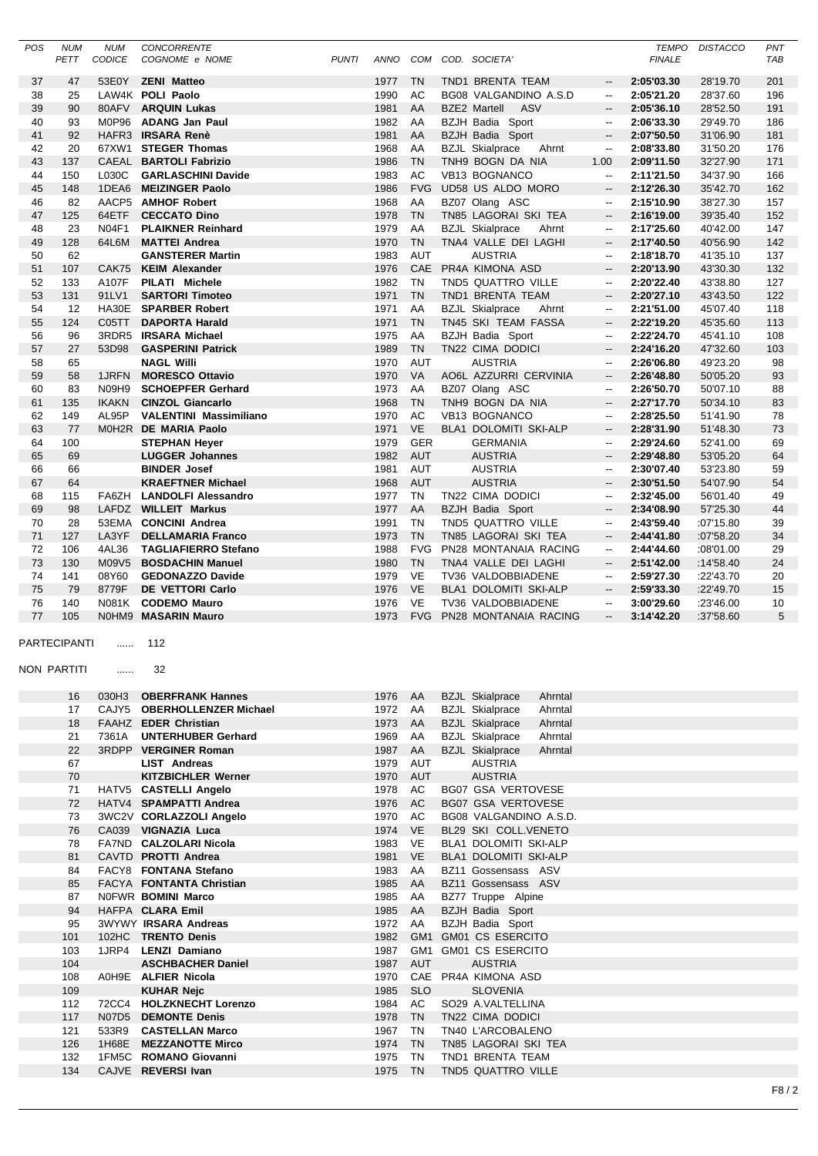| <b>POS</b> | <b>NUM</b>   | <b>NUM</b>   | <b>CONCORRENTE</b>            |              |         |            |                                   |                          | <b>TEMPO</b>  | <b>DISTACCO</b> | PNT        |
|------------|--------------|--------------|-------------------------------|--------------|---------|------------|-----------------------------------|--------------------------|---------------|-----------------|------------|
|            | PETT         | CODICE       | COGNOME e NOME                | <b>PUNTI</b> | ANNO    |            | COM COD. SOCIETA'                 |                          | <b>FINALE</b> |                 | <b>TAB</b> |
| 37         | 47           | 53E0Y        | <b>ZENI Matteo</b>            |              | 1977    | <b>TN</b>  | TND1 BRENTA TEAM                  | $\overline{\phantom{a}}$ | 2:05'03.30    | 28'19.70        | 201        |
| 38         | 25           |              | LAW4K POLI Paolo              |              | 1990    | AC         | BG08 VALGANDINO A.S.D             | $\overline{\phantom{a}}$ | 2:05'21.20    | 28'37.60        | 196        |
| 39         | 90           | 80AFV        | <b>ARQUIN Lukas</b>           |              | 1981    | AA         | ASV<br><b>BZE2 Martell</b>        | --                       | 2:05'36.10    | 28'52.50        | 191        |
| 40         | 93           |              | M0P96 ADANG Jan Paul          |              | 1982    | AA         | <b>BZJH Badia Sport</b>           | $\overline{\phantom{a}}$ | 2:06'33.30    | 29'49.70        | 186        |
| 41         | 92           |              | HAFR3 IRSARA Renè             |              | 1981    | AA         | BZJH Badia Sport                  | $\overline{\phantom{a}}$ | 2:07'50.50    | 31'06.90        | 181        |
| 42         | 20           |              | 67XW1 STEGER Thomas           |              | 1968    | AA         | <b>BZJL Skialprace</b><br>Ahrnt   | --                       | 2:08'33.80    | 31'50.20        | 176        |
| 43         | 137          |              | CAEAL BARTOLI Fabrizio        |              | 1986    | <b>TN</b>  | TNH9 BOGN DA NIA                  | 1.00                     | 2:09'11.50    | 32'27.90        | 171        |
| 44         | 150          | L030C        | <b>GARLASCHINI Davide</b>     |              | 1983    | AC         | VB13 BOGNANCO                     | --                       | 2:11'21.50    | 34'37.90        | 166        |
| 45         | 148          | 1DEA6        | <b>MEIZINGER Paolo</b>        |              | 1986    | <b>FVG</b> | UD58 US ALDO MORO                 | $\overline{\phantom{a}}$ | 2:12'26.30    | 35'42.70        | 162        |
| 46         | 82           |              | AACP5 AMHOF Robert            |              | 1968    | AA         | BZ07 Olang ASC                    | $\overline{\phantom{a}}$ | 2:15'10.90    | 38'27.30        | 157        |
| 47         | 125          | 64ETF        | <b>CECCATO Dino</b>           |              | 1978    | <b>TN</b>  | TN85 LAGORAI SKI TEA              | --                       | 2:16'19.00    | 39'35.40        | 152        |
| 48         | 23           | N04F1        | <b>PLAIKNER Reinhard</b>      |              | 1979    | AA         | <b>BZJL Skialprace</b><br>Ahrnt   | $\overline{\phantom{a}}$ | 2:17'25.60    | 40'42.00        | 147        |
| 49         | 128          | 64L6M        | <b>MATTEI Andrea</b>          |              | 1970    | <b>TN</b>  | TNA4 VALLE DEI LAGHI              | $\overline{\phantom{a}}$ |               |                 | 142        |
|            |              |              |                               |              |         |            |                                   |                          | 2:17'40.50    | 40'56.90        |            |
| 50         | 62           |              | <b>GANSTERER Martin</b>       |              | 1983    | <b>AUT</b> | <b>AUSTRIA</b>                    | --                       | 2:18'18.70    | 41'35.10        | 137        |
| 51         | 107          | CAK75        | <b>KEIM Alexander</b>         |              | 1976    | CAE        | PR4A KIMONA ASD                   | --                       | 2:20'13.90    | 43'30.30        | 132        |
| 52         | 133          | A107F        | PILATI Michele                |              | 1982    | <b>TN</b>  | TND5 QUATTRO VILLE                | $\overline{\phantom{a}}$ | 2:20'22.40    | 43'38.80        | 127        |
| 53         | 131          | 91LV1        | <b>SARTORI Timoteo</b>        |              | 1971    | <b>TN</b>  | TND1 BRENTA TEAM                  | $\overline{\phantom{a}}$ | 2:20'27.10    | 43'43.50        | 122        |
| 54         | 12           |              | HA30E SPARBER Robert          |              | 1971    | AA         | <b>BZJL Skialprace</b><br>Ahrnt   | $\overline{\phantom{a}}$ | 2:21'51.00    | 45'07.40        | 118        |
| 55         | 124          | C05TT        | <b>DAPORTA Harald</b>         |              | 1971    | <b>TN</b>  | TN45 SKI TEAM FASSA               | --                       | 2:22'19.20    | 45'35.60        | 113        |
| 56         | 96           |              | 3RDR5 IRSARA Michael          |              | 1975    | AA         | BZJH Badia Sport                  | --                       | 2:22'24.70    | 45'41.10        | 108        |
| 57         | 27           | 53D98        | <b>GASPERINI Patrick</b>      |              | 1989    | <b>TN</b>  | TN22 CIMA DODICI                  | --                       | 2:24'16.20    | 47'32.60        | 103        |
| 58         | 65           |              | <b>NAGL Willi</b>             |              | 1970    | AUT        | <b>AUSTRIA</b>                    | --                       | 2:26'06.80    | 49'23.20        | 98         |
| 59         | 58           | 1JRFN        | <b>MORESCO Ottavio</b>        |              | 1970    | VA         | AO6L AZZURRI CERVINIA             | --                       | 2:26'48.80    | 50'05.20        | 93         |
| 60         | 83           | N09H9        | <b>SCHOEPFER Gerhard</b>      |              | 1973    | AA         | BZ07 Olang ASC                    | $\overline{\phantom{a}}$ | 2:26'50.70    | 50'07.10        | 88         |
| 61         | 135          | <b>IKAKN</b> | <b>CINZOL Giancarlo</b>       |              | 1968    | <b>TN</b>  | TNH9 BOGN DA NIA                  |                          | 2:27'17.70    | 50'34.10        | 83         |
| 62         | 149          | AL95P        | <b>VALENTINI Massimiliano</b> |              | 1970    | AC         | VB13 BOGNANCO                     | --                       | 2:28'25.50    | 51'41.90        | 78         |
| 63         | 77           |              | M0H2R DE MARIA Paolo          |              | 1971    | VE         | BLA1 DOLOMITI SKI-ALP             | --                       | 2:28'31.90    | 51'48.30        | 73         |
| 64         | 100          |              | <b>STEPHAN Heyer</b>          |              | 1979    | <b>GER</b> | <b>GERMANIA</b>                   | --                       | 2:29'24.60    | 52'41.00        | 69         |
| 65         | 69           |              | <b>LUGGER Johannes</b>        |              | 1982    | <b>AUT</b> | <b>AUSTRIA</b>                    | $\qquad \qquad -$        | 2:29'48.80    | 53'05.20        | 64         |
| 66         | 66           |              | <b>BINDER Josef</b>           |              | 1981    | <b>AUT</b> | <b>AUSTRIA</b>                    | --                       | 2:30'07.40    | 53'23.80        | 59         |
| 67         | 64           |              | <b>KRAEFTNER Michael</b>      |              | 1968    | <b>AUT</b> | <b>AUSTRIA</b>                    | --                       | 2:30'51.50    | 54'07.90        | 54         |
| 68         | 115          | FA6ZH        | <b>LANDOLFI Alessandro</b>    |              | 1977    | TN         | TN22 CIMA DODICI                  | --                       | 2:32'45.00    | 56'01.40        | 49         |
| 69         | 98           |              | LAFDZ WILLEIT Markus          |              | 1977    | AA         | <b>BZJH Badia Sport</b>           |                          | 2:34'08.90    | 57'25.30        | 44         |
| 70         | 28           |              | 53EMA CONCINI Andrea          |              | 1991    | <b>TN</b>  | TND5 QUATTRO VILLE                | $\overline{\phantom{a}}$ | 2:43'59.40    | :07'15.80       | 39         |
| 71         | 127          | LA3YF        | <b>DELLAMARIA Franco</b>      |              | 1973    | <b>TN</b>  | TN85 LAGORAI SKI TEA              | --                       | 2:44'41.80    | :07'58.20       | 34         |
| 72         | 106          | 4AL36        | <b>TAGLIAFIERRO Stefano</b>   |              | 1988    | <b>FVG</b> | PN28 MONTANAIA RACING             | --                       | 2:44'44.60    | :08'01.00       | 29         |
| 73         | 130          | M09V5        | <b>BOSDACHIN Manuel</b>       |              | 1980    | <b>TN</b>  | TNA4 VALLE DEI LAGHI              |                          | 2:51'42.00    | :14'58.40       | 24         |
| 74         | 141          | 08Y60        | <b>GEDONAZZO Davide</b>       |              | 1979    | VE         | TV36 VALDOBBIADENE                | --                       | 2:59'27.30    | :22'43.70       | 20         |
| 75         | 79           | 8779F        | <b>DE VETTORI Carlo</b>       |              | 1976    | <b>VE</b>  | <b>BLA1 DOLOMITI SKI-ALP</b>      | --                       | 2:59'33.30    | :22'49.70       | 15         |
| 76         | 140          | N081K        | <b>CODEMO Mauro</b>           |              | 1976    | <b>VE</b>  | TV36 VALDOBBIADENE                | --                       | 3:00'29.60    | :23'46.00       | 10         |
| 77         | 105          | N0HM9        | <b>MASARIN Mauro</b>          |              | 1973    | <b>FVG</b> | PN28 MONTANAIA RACING             | --                       | 3:14'42.20    | :37'58.60       | 5          |
|            |              |              |                               |              |         |            |                                   |                          |               |                 |            |
|            | PARTECIPANTI | .            | 112                           |              |         |            |                                   |                          |               |                 |            |
|            |              |              |                               |              |         |            |                                   |                          |               |                 |            |
|            | NON PARTITI  | .            | 32                            |              |         |            |                                   |                          |               |                 |            |
|            |              |              |                               |              |         |            |                                   |                          |               |                 |            |
|            | 16           | 030H3        | <b>OBERFRANK Hannes</b>       |              | 1976    | AA         | Ahrntal<br><b>BZJL Skialprace</b> |                          |               |                 |            |
|            | 17           |              | CAJY5 OBERHOLLENZER Michael   |              | 1972 AA |            | Ahrntal<br><b>BZJL Skialprace</b> |                          |               |                 |            |
|            | 18           |              | FAAHZ EDER Christian          |              | 1973 AA |            | <b>BZJL Skialprace</b><br>Ahrntal |                          |               |                 |            |
|            | 21           | 7361A        | <b>UNTERHUBER Gerhard</b>     |              | 1969    | AA         | <b>BZJL Skialprace</b><br>Ahrntal |                          |               |                 |            |
|            | 22           |              | 3RDPP VERGINER Roman          |              | 1987    | AA         | <b>BZJL Skialprace</b><br>Ahrntal |                          |               |                 |            |
|            | 67           |              | <b>LIST</b> Andreas           |              | 1979    | AUT        | <b>AUSTRIA</b>                    |                          |               |                 |            |
|            | 70           |              | <b>KITZBICHLER Werner</b>     |              | 1970    | AUT        | <b>AUSTRIA</b>                    |                          |               |                 |            |
|            | 71           |              | HATV5 CASTELLI Angelo         |              | 1978    | AC         | <b>BG07 GSA VERTOVESE</b>         |                          |               |                 |            |
|            | 72           |              | HATV4 SPAMPATTI Andrea        |              | 1976 AC |            | <b>BG07 GSA VERTOVESE</b>         |                          |               |                 |            |
|            | 73           |              | 3WC2V CORLAZZOLI Angelo       |              | 1970    | AC         | BG08 VALGANDINO A.S.D.            |                          |               |                 |            |
|            | 76           |              | CA039 VIGNAZIA Luca           |              | 1974 VE |            | BL29 SKI COLL.VENETO              |                          |               |                 |            |
|            | 78           |              | FA7ND CALZOLARI Nicola        |              | 1983    | VE         | BLA1 DOLOMITI SKI-ALP             |                          |               |                 |            |
|            | 81           |              | CAVTD PROTTI Andrea           |              | 1981    | <b>VE</b>  | BLA1 DOLOMITI SKI-ALP             |                          |               |                 |            |
|            | 84           |              | FACY8 FONTANA Stefano         |              | 1983    | AA         | BZ11 Gossensass ASV               |                          |               |                 |            |
|            | 85           |              | FACYA FONTANTA Christian      |              | 1985 AA |            | BZ11 Gossensass ASV               |                          |               |                 |            |
|            |              |              | NOFWR BOMINI Marco            |              | 1985 AA |            | BZ77 Truppe Alpine                |                          |               |                 |            |
|            | 87<br>94     |              | HAFPA CLARA Emil              |              | 1985 AA |            | <b>BZJH Badia Sport</b>           |                          |               |                 |            |
|            |              |              | <b>3WYWY IRSARA Andreas</b>   |              | 1972 AA |            | BZJH Badia Sport                  |                          |               |                 |            |
|            | 95<br>101    |              | 102HC TRENTO Denis            |              | 1982    | GM1        | GM01 CS ESERCITO                  |                          |               |                 |            |
|            |              |              |                               |              | 1987    | GM1        | GM01 CS ESERCITO                  |                          |               |                 |            |
|            | 103          |              | 1JRP4 LENZI Damiano           |              |         |            |                                   |                          |               |                 |            |
|            | 104          |              | <b>ASCHBACHER Daniel</b>      |              | 1987    | <b>AUT</b> | <b>AUSTRIA</b>                    |                          |               |                 |            |
|            | 108          |              | A0H9E ALFIER Nicola           |              | 1970    |            | CAE PR4A KIMONA ASD               |                          |               |                 |            |
|            | 109          |              | <b>KUHAR Nejc</b>             |              | 1985    | <b>SLO</b> | <b>SLOVENIA</b>                   |                          |               |                 |            |
|            | 112          |              | 72CC4 HOLZKNECHT Lorenzo      |              | 1984    | AC         | SO29 A.VALTELLINA                 |                          |               |                 |            |
|            | 117          | N07D5        | <b>DEMONTE Denis</b>          |              | 1978    | <b>TN</b>  | TN22 CIMA DODICI                  |                          |               |                 |            |
|            | 121          | 533R9        | <b>CASTELLAN Marco</b>        |              | 1967    | TN         | TN40 L'ARCOBALENO                 |                          |               |                 |            |
|            | 126          |              | 1H68E MEZZANOTTE Mirco        |              | 1974    | <b>TN</b>  | TN85 LAGORAI SKI TEA              |                          |               |                 |            |
|            | 132          |              | 1FM5C ROMANO Giovanni         |              | 1975    | TN         | TND1 BRENTA TEAM                  |                          |               |                 |            |
|            | 134          |              | CAJVE REVERSI Ivan            |              | 1975    | <b>TN</b>  | TND5 QUATTRO VILLE                |                          |               |                 |            |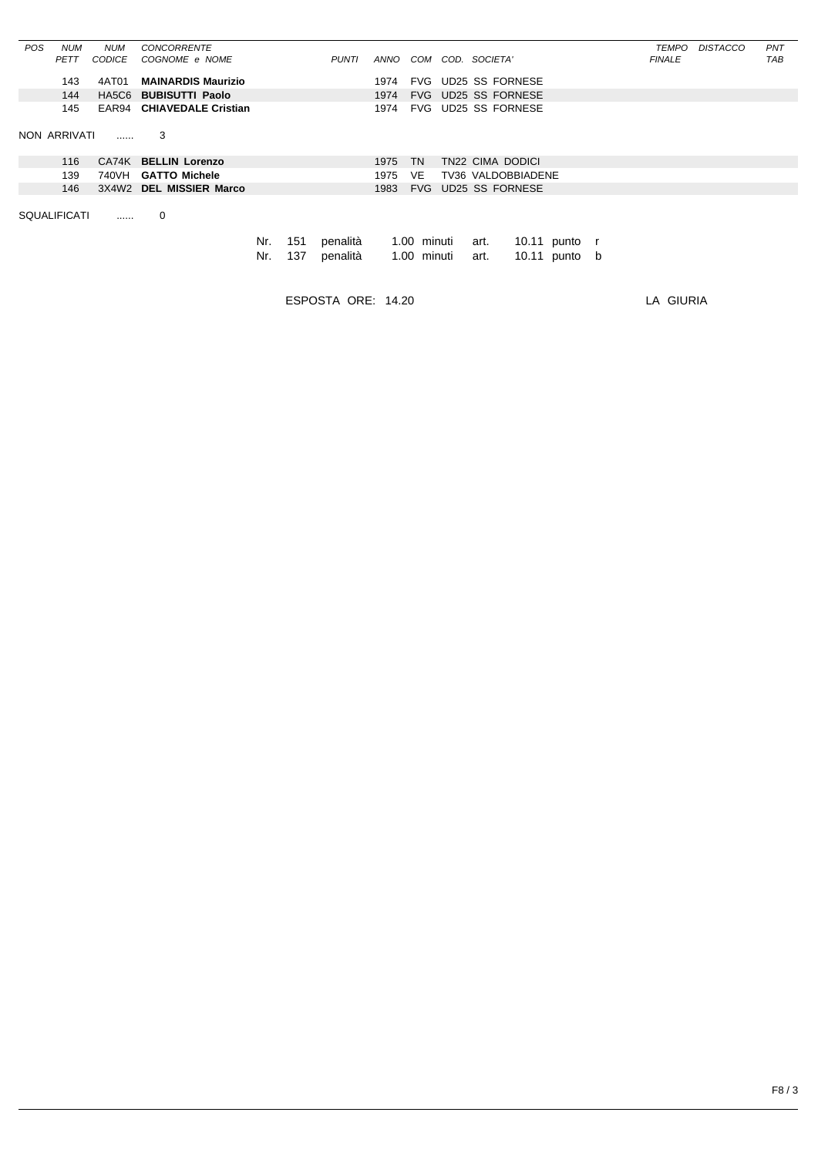| <b>POS</b> | <b>NUM</b>          | <b>NUM</b>    | <b>CONCORRENTE</b>               |     |     |                    |      |             |                   |      |                        |                 | TEMPO         | <b>DISTACCO</b> | PNT |
|------------|---------------------|---------------|----------------------------------|-----|-----|--------------------|------|-------------|-------------------|------|------------------------|-----------------|---------------|-----------------|-----|
|            | <b>PETT</b>         | <b>CODICE</b> | COGNOME e NOME                   |     |     | PUNTI              | ANNO |             | COM COD. SOCIETA' |      |                        |                 | <b>FINALE</b> |                 | TAB |
|            | 143                 | 4AT01         | <b>MAINARDIS Maurizio</b>        |     |     |                    | 1974 |             |                   |      | FVG UD25 SS FORNESE    |                 |               |                 |     |
|            | 144                 |               | HA5C6 BUBISUTTI Paolo            |     |     |                    | 1974 | <b>FVG</b>  |                   |      | UD25 SS FORNESE        |                 |               |                 |     |
|            | 145                 |               | <b>EAR94 CHIAVEDALE Cristian</b> |     |     |                    | 1974 |             |                   |      | FVG UD25 SS FORNESE    |                 |               |                 |     |
|            |                     |               |                                  |     |     |                    |      |             |                   |      |                        |                 |               |                 |     |
|            | NON ARRIVATI        | 1.1.1.1       | 3                                |     |     |                    |      |             |                   |      |                        |                 |               |                 |     |
|            | 116                 |               | CA74K BELLIN Lorenzo             |     |     |                    | 1975 | <b>TN</b>   |                   |      | TN22 CIMA DODICI       |                 |               |                 |     |
|            | 139                 | 740VH         | <b>GATTO Michele</b>             |     |     |                    | 1975 | VE.         |                   |      | TV36 VALDOBBIADENE     |                 |               |                 |     |
|            | 146                 | 3X4W2         | <b>DEL MISSIER Marco</b>         |     |     |                    | 1983 | <b>FVG</b>  |                   |      | <b>UD25 SS FORNESE</b> |                 |               |                 |     |
|            |                     |               |                                  |     |     |                    |      |             |                   |      |                        |                 |               |                 |     |
|            | <b>SQUALIFICATI</b> |               | 0                                |     |     |                    |      |             |                   |      |                        |                 |               |                 |     |
|            |                     |               |                                  |     |     |                    |      |             |                   |      |                        |                 |               |                 |     |
|            |                     |               |                                  | Nr. | 151 | penalità           |      | 1.00 minuti |                   | art. |                        | 10.11 punto $r$ |               |                 |     |
|            |                     |               |                                  | Nr. | 137 | penalità           |      | 1.00 minuti |                   | art. |                        | 10.11 punto b   |               |                 |     |
|            |                     |               |                                  |     |     |                    |      |             |                   |      |                        |                 |               |                 |     |
|            |                     |               |                                  |     |     |                    |      |             |                   |      |                        |                 |               |                 |     |
|            |                     |               |                                  |     |     | ESPOSTA ORE: 14.20 |      |             |                   |      |                        |                 | LA GIURIA     |                 |     |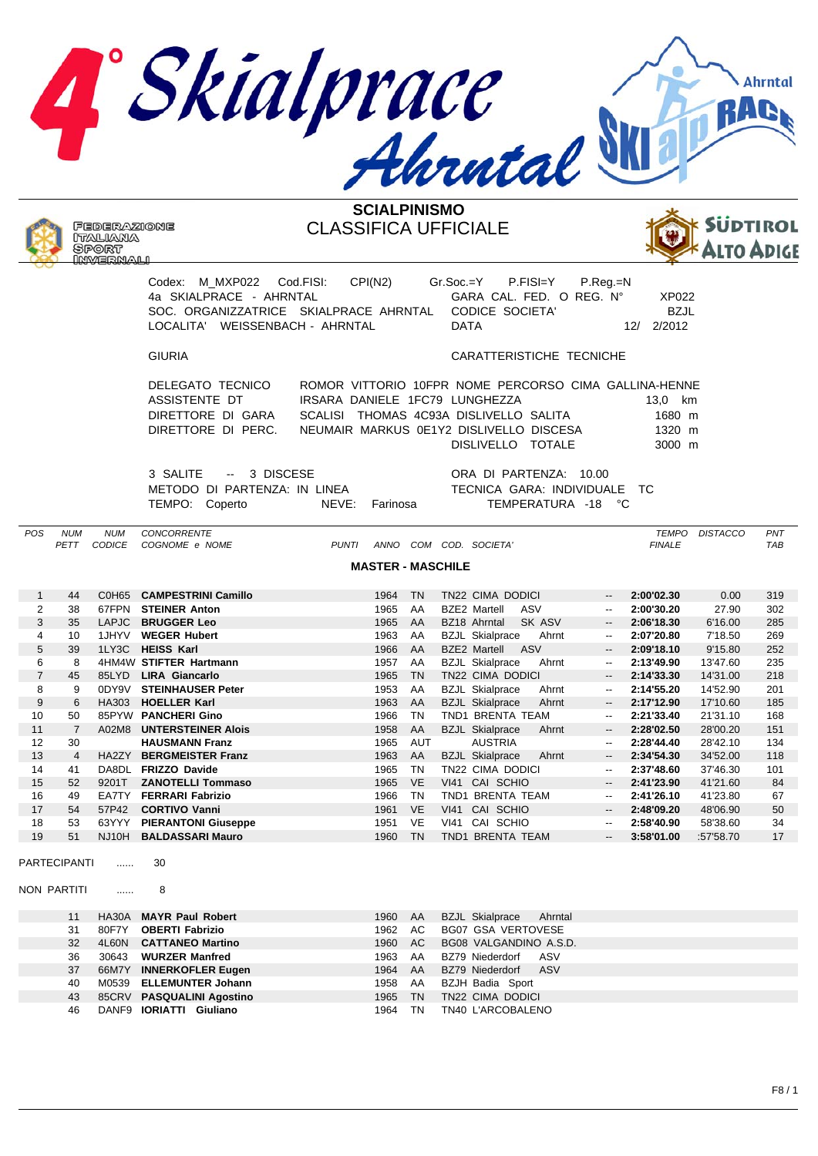



## CLASSIFICA UFFICIALE



|                         |                    | UVAJEMANAS<br>Sport<br><b>NAMGERMAN</b> |                                                                                                                                   |                                                                                                                                                                              |            |                             |                                                        |                 |                               |                                           | ALTO ADIG       |                   |
|-------------------------|--------------------|-----------------------------------------|-----------------------------------------------------------------------------------------------------------------------------------|------------------------------------------------------------------------------------------------------------------------------------------------------------------------------|------------|-----------------------------|--------------------------------------------------------|-----------------|-------------------------------|-------------------------------------------|-----------------|-------------------|
|                         |                    |                                         | Codex: M_MXP022 Cod.FISI:<br>4a SKIALPRACE - AHRNTAL<br>SOC. ORGANIZZATRICE SKIALPRACE AHRNTAL<br>LOCALITA' WEISSENBACH - AHRNTAL | CPI(N2)                                                                                                                                                                      |            | $Gr.Soc = Y$<br><b>DATA</b> | GARA CAL. FED. O REG. N°<br><b>CODICE SOCIETA'</b>     | P.FISI=Y        | $P_{\cdot}$ Reg $_{\cdot}$ =N | <b>XP022</b><br><b>BZJL</b><br>12/ 2/2012 |                 |                   |
|                         |                    |                                         | <b>GIURIA</b>                                                                                                                     |                                                                                                                                                                              |            |                             | CARATTERISTICHE TECNICHE                               |                 |                               |                                           |                 |                   |
|                         |                    |                                         | DELEGATO TECNICO<br>ASSISTENTE DT<br>DIRETTORE DI GARA<br>DIRETTORE DI PERC.                                                      | ROMOR VITTORIO 10FPR NOME PERCORSO CIMA GALLINA-HENNE<br>IRSARA DANIELE 1FC79 LUNGHEZZA<br>SCALISI THOMAS 4C93A DISLIVELLO SALITA<br>NEUMAIR MARKUS 0E1Y2 DISLIVELLO DISCESA |            |                             | DISLIVELLO TOTALE                                      |                 |                               | 13,0 km<br>1680 m<br>1320 m<br>3000 m     |                 |                   |
|                         |                    |                                         | 3 SALITE<br>-- 3 DISCESE<br>METODO DI PARTENZA: IN LINEA<br>TEMPO: Coperto                                                        | NEVE:<br>Farinosa                                                                                                                                                            |            |                             | ORA DI PARTENZA: 10.00<br>TECNICA GARA: INDIVIDUALE TC | TEMPERATURA -18 | °°C                           |                                           |                 |                   |
| POS                     | <b>NUM</b><br>PETT | <b>NUM</b><br>CODICE                    | <b>CONCORRENTE</b><br>COGNOME e NOME                                                                                              | <b>PUNTI</b>                                                                                                                                                                 |            |                             | ANNO COM COD. SOCIETA'                                 |                 |                               | <b>TEMPO</b><br><b>FINALE</b>             | <b>DISTACCO</b> | PNT<br><b>TAB</b> |
|                         |                    |                                         |                                                                                                                                   | <b>MASTER - MASCHILE</b>                                                                                                                                                     |            |                             |                                                        |                 |                               |                                           |                 |                   |
| $\mathbf{1}$            | 44                 | <b>C0H65</b>                            | <b>CAMPESTRINI Camillo</b>                                                                                                        | 1964                                                                                                                                                                         | <b>TN</b>  |                             | TN22 CIMA DODICI                                       |                 | --                            | 2:00'02.30                                | 0.00            | 319               |
| $\overline{\mathbf{c}}$ | 38                 |                                         | 67FPN STEINER Anton                                                                                                               | 1965                                                                                                                                                                         | AA         |                             | <b>BZE2 Martell</b>                                    | ASV             | $\overline{\phantom{a}}$      | 2:00'30.20                                | 27.90           | 302               |
| 3                       | 35                 |                                         | LAPJC BRUGGER Leo                                                                                                                 | 1965                                                                                                                                                                         | AA         |                             | BZ18 Ahrntal                                           | SK ASV          |                               | 2:06'18.30                                | 6'16.00         | 285               |
| $\overline{4}$          | 10                 |                                         | 1JHYV WEGER Hubert                                                                                                                | 1963                                                                                                                                                                         | AA         |                             | <b>BZJL Skialprace</b>                                 | Ahrnt           | $\overline{\phantom{a}}$      | 2:07'20.80                                | 7'18.50         | 269               |
| 5                       | 39                 | 1LY3C                                   | <b>HEISS Karl</b>                                                                                                                 | 1966                                                                                                                                                                         | AA         |                             | BZE2 Martell ASV                                       |                 |                               | 2:09'18.10                                | 9'15.80         | 252               |
| 6                       | 8                  |                                         | 4HM4W STIFTER Hartmann                                                                                                            | 1957                                                                                                                                                                         | AA         |                             | <b>BZJL Skialprace</b>                                 | Ahrnt           | $\overline{\phantom{a}}$      | 2:13'49.90                                | 13'47.60        | 235               |
| $\overline{7}$          | 45                 | 85LYD                                   | <b>LIRA Giancarlo</b>                                                                                                             | 1965                                                                                                                                                                         | <b>TN</b>  |                             | TN22 CIMA DODICI                                       |                 |                               | 2:14'33.30                                | 14'31.00        | 218               |
| 8                       | 9                  |                                         | 0DY9V STEINHAUSER Peter                                                                                                           | 1953                                                                                                                                                                         | AA         |                             | <b>BZJL Skialprace</b>                                 | Ahrnt           | $\overline{\phantom{a}}$      | 2:14'55.20                                | 14'52.90        | 201               |
| 9                       | 6                  | HA303                                   | <b>HOELLER Karl</b>                                                                                                               | 1963                                                                                                                                                                         | AA         |                             | <b>BZJL Skialprace</b>                                 | Ahrnt           | --                            | 2:17'12.90                                | 17'10.60        | 185               |
| 10                      | 50                 |                                         | 85PYW PANCHERI Gino                                                                                                               | 1966                                                                                                                                                                         | <b>TN</b>  |                             | TND1 BRENTA TEAM                                       |                 | $\overline{a}$                | 2:21'33.40                                | 21'31.10        | 168               |
| 11                      | $\overline{7}$     | A02M8                                   | <b>UNTERSTEINER Alois</b>                                                                                                         | 1958                                                                                                                                                                         | AA         |                             | <b>BZJL Skialprace</b>                                 | Ahrnt           |                               | 2:28'02.50                                | 28'00.20        | 151               |
| 12                      | 30                 |                                         | <b>HAUSMANN Franz</b>                                                                                                             | 1965                                                                                                                                                                         | <b>AUT</b> |                             | <b>AUSTRIA</b>                                         |                 | --                            | 2:28'44.40                                | 28'42.10        | 134               |
| 13                      | $\overline{4}$     |                                         | HA2ZY BERGMEISTER Franz                                                                                                           | 1963                                                                                                                                                                         | AA         |                             | <b>BZJL Skialprace</b>                                 | Ahrnt           | $\overline{a}$                | 2:34'54.30                                | 34'52.00        | 118               |
| 14                      | 41                 |                                         | DA8DL FRIZZO Davide                                                                                                               | 1965                                                                                                                                                                         | <b>TN</b>  |                             | TN22 CIMA DODICI                                       |                 | $\overline{\phantom{a}}$      | 2:37'48.60                                | 37'46.30        | 101               |
| 15                      | 52                 | 9201T                                   | <b>ZANOTELLI Tommaso</b>                                                                                                          | 1965                                                                                                                                                                         | <b>VE</b>  |                             | VI41 CAI SCHIO                                         |                 | $\overline{a}$                | 2:41'23.90                                | 41'21.60        | 84                |
| 16                      | 49                 |                                         | EA7TY FERRARI Fabrizio                                                                                                            | 1966                                                                                                                                                                         | <b>TN</b>  |                             | TND1 BRENTA TEAM                                       |                 |                               | 2:41'26.10                                | 41'23.80        | 67                |
| 17                      | 54                 | 57P42                                   | <b>CORTIVO Vanni</b>                                                                                                              | 1961                                                                                                                                                                         | <b>VE</b>  |                             | VI41 CAI SCHIO                                         |                 |                               | 2:48'09.20                                | 48'06.90        | 50                |
| 18                      | 53                 | 63YYY                                   | <b>PIERANTONI Giuseppe</b>                                                                                                        | 1951                                                                                                                                                                         | VE         |                             | VI41 CAI SCHIO                                         |                 | $\overline{\phantom{a}}$      | 2:58'40.90                                | 58'38.60        | 34                |
| 19                      | 51                 | NJ10H                                   | <b>BALDASSARI Mauro</b>                                                                                                           | 1960                                                                                                                                                                         | <b>TN</b>  |                             | TND1 BRENTA TEAM                                       |                 | $\overline{\phantom{a}}$      | 3:58'01.00                                | :57'58.70       | 17                |
|                         | PARTECIPANTI       | .                                       | 30                                                                                                                                |                                                                                                                                                                              |            |                             |                                                        |                 |                               |                                           |                 |                   |
|                         | NON PARTITI        | .                                       | 8                                                                                                                                 |                                                                                                                                                                              |            |                             |                                                        |                 |                               |                                           |                 |                   |
|                         | 11                 | HA30A                                   | <b>MAYR Paul Robert</b>                                                                                                           | 1960                                                                                                                                                                         | AA         |                             | <b>BZJL Skialprace</b>                                 | Ahrntal         |                               |                                           |                 |                   |

|                 | HA30A MAYR Paul Robert         |         | 1960 AA BZJL-Skialprace Ahrntal |
|-----------------|--------------------------------|---------|---------------------------------|
| 31              | 80F7Y OBERTI Fabrizio          | 1962 AC | BG07 GSA VERTOVESE              |
| 32 <sup>2</sup> | 4L60N CATTANEO Martino         | 1960 AC | BG08 VALGANDINO A.S.D.          |
| 36              | 30643 WURZER Manfred           | 1963 AA | BZ79 Niederdorf ASV             |
| 37              | 66M7Y INNERKOFLER Eugen        | 1964 AA | BZ79 Niederdorf ASV             |
| 40              | M0539 <b>ELLEMUNTER Johann</b> | 1958 AA | BZJH Badia Sport                |
| 43              | 85CRV PASQUALINI Agostino      | 1965 TN | TN22 CIMA DODICI                |
| 46              | DANF9 <b>IORIATTI Giuliano</b> | 1964 TN | TN40 L'ARCOBALENO               |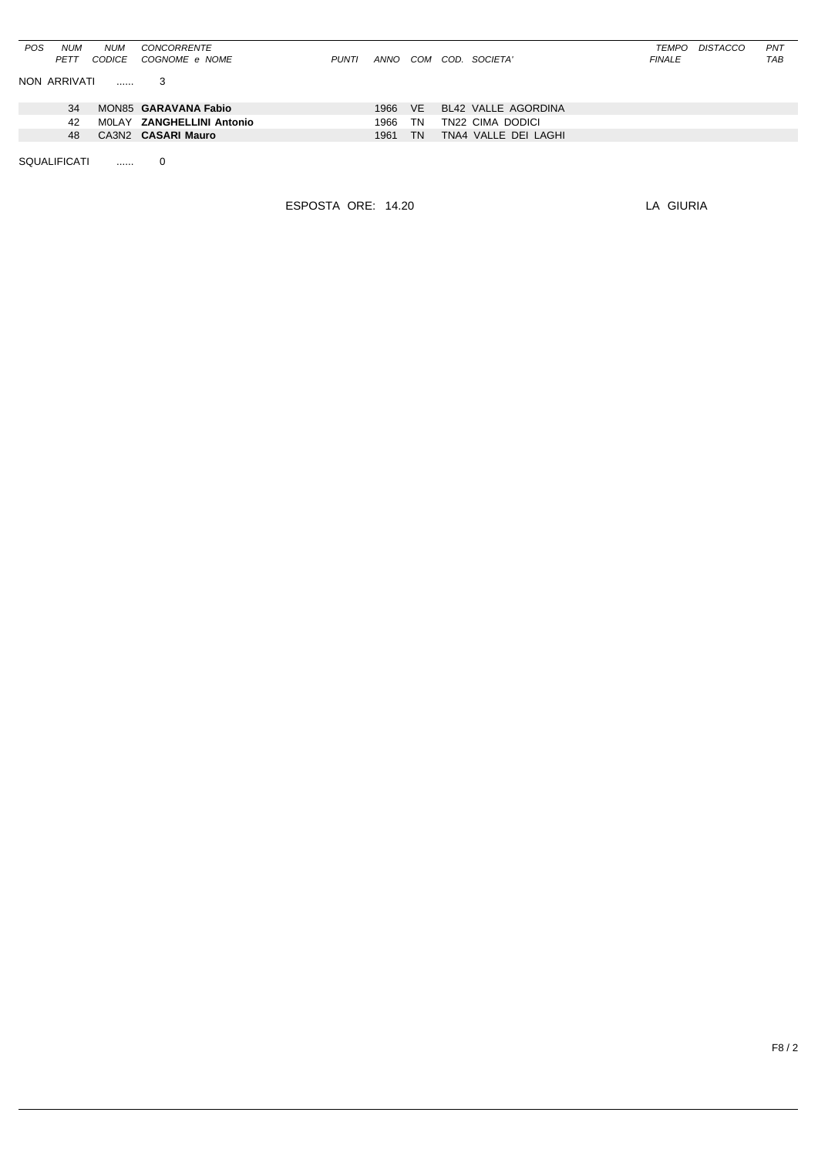| POS | <b>NUM</b>   | <b>NUM</b>                                | CONCORRENTE               |              |      |           |                      | TEMPO         | DISTACCO | <b>PNT</b> |
|-----|--------------|-------------------------------------------|---------------------------|--------------|------|-----------|----------------------|---------------|----------|------------|
|     | PETT         | <b>CODICE</b>                             | COGNOME e NOME            | <b>PUNTI</b> | ANNO | COM       | COD. SOCIETA'        | <b>FINALE</b> |          | <b>TAB</b> |
|     |              |                                           |                           |              |      |           |                      |               |          |            |
|     | NON ARRIVATI | <b><i>Committee State State State</i></b> |                           |              |      |           |                      |               |          |            |
|     |              |                                           |                           |              |      |           |                      |               |          |            |
|     | 34           |                                           | MON85 GARAVANA Fabio      |              | 1966 | VE.       | BL42 VALLE AGORDINA  |               |          |            |
|     | 42           |                                           | MOLAY ZANGHELLINI Antonio |              | 1966 | TN        | TN22 CIMA DODICI     |               |          |            |
|     | 48           |                                           | CA3N2 CASARI Mauro        |              | 1961 | <b>TN</b> | TNA4 VALLE DEI LAGHI |               |          |            |
|     |              |                                           |                           |              |      |           |                      |               |          |            |

SQUALIFICATI ...... 0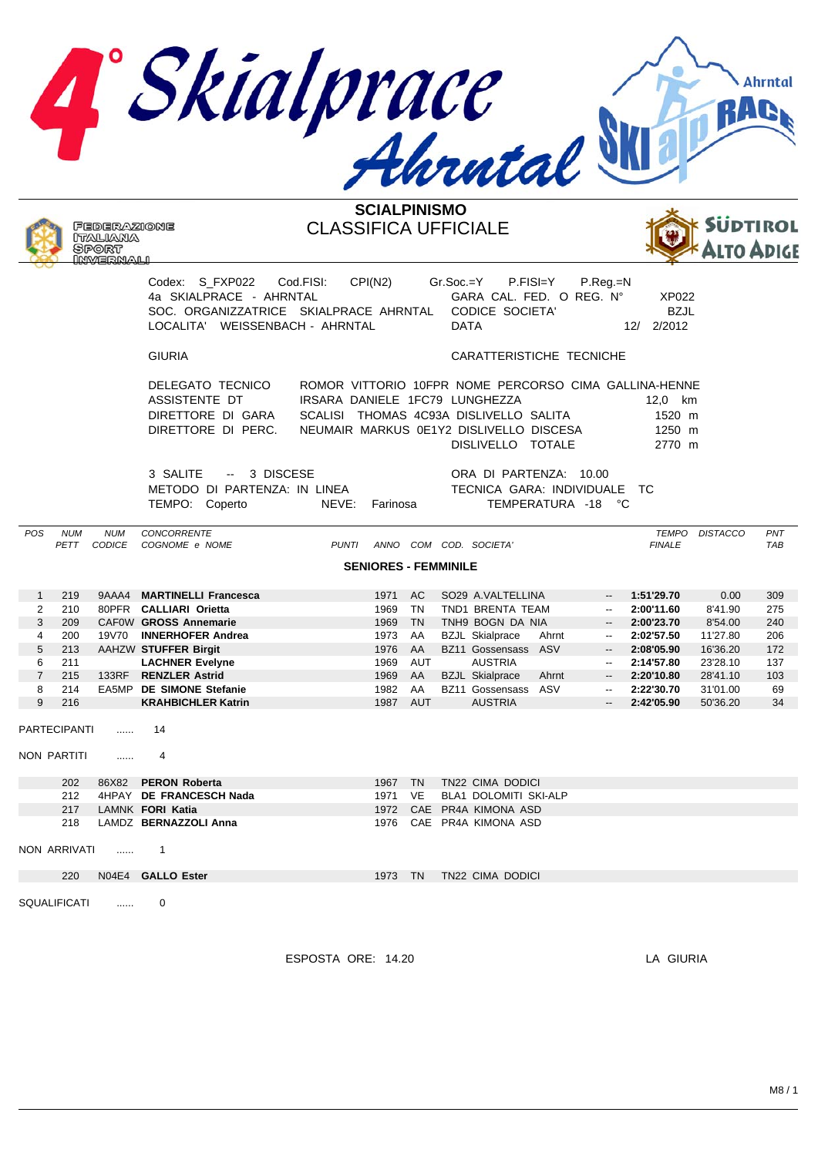

|                |              |                                                                                                                                                                                                                                                                                                                                   | Codex: S_FXP022<br>4a SKIALPRACE - AHRNTAL<br>SOC. ORGANIZZATRICE SKIALPRACE AHRNTAL CODICE SOCIETA'<br>LOCALITA' WEISSENBACH - AHRNTAL | Cod.FISI:      | CPI(N2)                     |           | Gr.Soc.=Y<br><b>DATA</b> | GARA CAL. FED. O REG. Nº     | P.FISI=Y | $P_{\cdot}$ Reg $_{\cdot}$ =N | XP022<br><b>BZJL</b><br>12/ 2/2012 |                |                   |
|----------------|--------------|-----------------------------------------------------------------------------------------------------------------------------------------------------------------------------------------------------------------------------------------------------------------------------------------------------------------------------------|-----------------------------------------------------------------------------------------------------------------------------------------|----------------|-----------------------------|-----------|--------------------------|------------------------------|----------|-------------------------------|------------------------------------|----------------|-------------------|
|                |              |                                                                                                                                                                                                                                                                                                                                   | <b>GIURIA</b>                                                                                                                           |                |                             |           |                          | CARATTERISTICHE TECNICHE     |          |                               |                                    |                |                   |
|                |              | <b>DELEGATO TECNICO</b><br>ROMOR VITTORIO 10FPR NOME PERCORSO CIMA GALLINA-HENNE<br>ASSISTENTE DT<br>IRSARA DANIELE 1FC79 LUNGHEZZA<br>12.0 km<br>DIRETTORE DI GARA<br>SCALISI THOMAS 4C93A DISLIVELLO SALITA<br>1520 m<br>DIRETTORE DI PERC.<br>NEUMAIR MARKUS 0E1Y2 DISLIVELLO DISCESA<br>1250 m<br>DISLIVELLO TOTALE<br>2770 m |                                                                                                                                         |                |                             |           |                          |                              |          |                               |                                    |                |                   |
|                |              |                                                                                                                                                                                                                                                                                                                                   | 3 SALITE<br>-- 3 DISCESE                                                                                                                |                |                             |           |                          | ORA DI PARTENZA: 10.00       |          |                               |                                    |                |                   |
|                |              |                                                                                                                                                                                                                                                                                                                                   | METODO DI PARTENZA: IN LINEA                                                                                                            |                |                             |           |                          | TECNICA GARA: INDIVIDUALE TC |          | TEMPERATURA -18 °C            |                                    |                |                   |
|                |              |                                                                                                                                                                                                                                                                                                                                   | TEMPO: Coperto                                                                                                                          | NEVE: Farinosa |                             |           |                          |                              |          |                               |                                    |                |                   |
| <b>POS</b>     | <b>NUM</b>   | <b>NUM</b><br>PETT CODICE                                                                                                                                                                                                                                                                                                         | <b>CONCORRENTE</b><br>COGNOME e NOME                                                                                                    | <b>PUNTI</b>   |                             |           |                          | ANNO COM COD. SOCIETA'       |          |                               | <b>FINALE</b>                      | TEMPO DISTACCO | PNT<br><b>TAB</b> |
|                |              |                                                                                                                                                                                                                                                                                                                                   |                                                                                                                                         |                | <b>SENIORES - FEMMINILE</b> |           |                          |                              |          |                               |                                    |                |                   |
|                |              |                                                                                                                                                                                                                                                                                                                                   |                                                                                                                                         |                |                             |           |                          |                              |          |                               |                                    |                |                   |
| $\mathbf{1}$   | 219          |                                                                                                                                                                                                                                                                                                                                   | 9AAA4 MARTINELLI Francesca                                                                                                              |                | 1971 AC                     |           |                          | SO29 A.VALTELLINA            |          | $\overline{\phantom{a}}$      | 1:51'29.70                         | 0.00           | 309               |
| $\overline{2}$ | 210          |                                                                                                                                                                                                                                                                                                                                   | 80PFR CALLIARI Orietta                                                                                                                  |                | 1969                        | TN.       |                          | TND1 BRENTA TEAM             |          | $\overline{\phantom{a}}$      | 2:00'11.60                         | 8'41.90        | 275               |
| 3              | 209          |                                                                                                                                                                                                                                                                                                                                   | CAFOW GROSS Annemarie                                                                                                                   |                | 1969 TN                     |           |                          | TNH9 BOGN DA NIA             |          | --                            | 2:00'23.70                         | 8'54.00        | 240               |
| $\overline{4}$ | 200          |                                                                                                                                                                                                                                                                                                                                   | 19V70 INNERHOFER Andrea                                                                                                                 |                | 1973 AA                     |           |                          | <b>BZJL Skialprace</b>       | Ahrnt    | $-$                           | 2:02'57.50                         | 11'27.80       | 206               |
| 5              | 213          |                                                                                                                                                                                                                                                                                                                                   | AAHZW STUFFER Birgit                                                                                                                    |                | 1976                        | <b>AA</b> |                          | BZ11 Gossensass ASV          |          |                               | 2:08'05.90                         | 16'36.20       | 172               |
| 6              | 211          |                                                                                                                                                                                                                                                                                                                                   | <b>LACHNER Evelyne</b>                                                                                                                  |                | 1969 AUT                    |           |                          | <b>AUSTRIA</b>               |          | $\overline{\phantom{a}}$      | 2:14'57.80                         | 23'28.10       | 137               |
| $\overline{7}$ | 215          |                                                                                                                                                                                                                                                                                                                                   | 133RF RENZLER Astrid                                                                                                                    |                | 1969                        | <b>AA</b> |                          | <b>BZJL Skialprace</b>       | Ahrnt    |                               | 2:20'10.80                         | 28'41.10       | 103               |
| 8              | 214          |                                                                                                                                                                                                                                                                                                                                   | EA5MP DE SIMONE Stefanie                                                                                                                |                | 1982 AA                     |           |                          | BZ11 Gossensass ASV          |          | $-$                           | 2:22'30.70                         | 31'01.00       | 69                |
| 9              | 216          |                                                                                                                                                                                                                                                                                                                                   | <b>KRAHBICHLER Katrin</b>                                                                                                               |                | 1987 AUT                    |           |                          | <b>AUSTRIA</b>               |          |                               | 2:42'05.90                         | 50'36.20       | 34                |
|                | PARTECIPANTI | $\cdots$                                                                                                                                                                                                                                                                                                                          | 14                                                                                                                                      |                |                             |           |                          |                              |          |                               |                                    |                |                   |
|                | NON PARTITI  | $\cdots$                                                                                                                                                                                                                                                                                                                          | 4                                                                                                                                       |                |                             |           |                          |                              |          |                               |                                    |                |                   |
|                | 202          |                                                                                                                                                                                                                                                                                                                                   | 86X82 PERON Roberta                                                                                                                     |                | 1967 TN                     |           |                          | TN22 CIMA DODICI             |          |                               |                                    |                |                   |
|                | 212          |                                                                                                                                                                                                                                                                                                                                   | 4HPAY DE FRANCESCH Nada                                                                                                                 |                | 1971                        | <b>VE</b> |                          | BLA1 DOLOMITI SKI-ALP        |          |                               |                                    |                |                   |
|                | 217          |                                                                                                                                                                                                                                                                                                                                   | <b>LAMNK FORI Katia</b>                                                                                                                 |                |                             |           |                          | 1972 CAE PR4A KIMONA ASD     |          |                               |                                    |                |                   |
|                | 218          |                                                                                                                                                                                                                                                                                                                                   | LAMDZ BERNAZZOLI Anna                                                                                                                   |                | 1976                        |           |                          | CAE PR4A KIMONA ASD          |          |                               |                                    |                |                   |
|                | NON ARRIVATI | $\ldots$                                                                                                                                                                                                                                                                                                                          | $\mathbf{1}$                                                                                                                            |                |                             |           |                          |                              |          |                               |                                    |                |                   |
|                | 220          |                                                                                                                                                                                                                                                                                                                                   | N04E4 GALLO Ester                                                                                                                       |                | 1973 TN                     |           |                          | TN22 CIMA DODICI             |          |                               |                                    |                |                   |
|                | SQUALIFICATI |                                                                                                                                                                                                                                                                                                                                   | $\mathbf 0$                                                                                                                             |                |                             |           |                          |                              |          |                               |                                    |                |                   |
|                |              |                                                                                                                                                                                                                                                                                                                                   |                                                                                                                                         |                |                             |           |                          |                              |          |                               |                                    |                |                   |